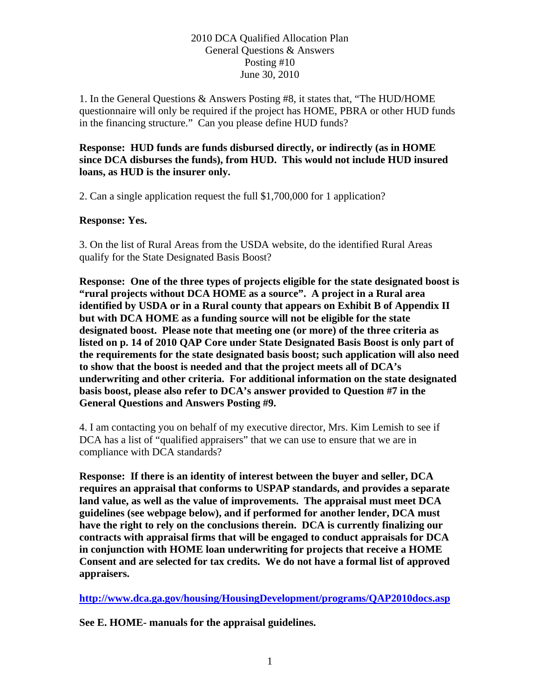## 2010 DCA Qualified Allocation Plan General Questions & Answers Posting #10 June 30, 2010

1. In the General Questions & Answers Posting #8, it states that, "The HUD/HOME questionnaire will only be required if the project has HOME, PBRA or other HUD funds in the financing structure." Can you please define HUD funds?

## **Response: HUD funds are funds disbursed directly, or indirectly (as in HOME since DCA disburses the funds), from HUD. This would not include HUD insured loans, as HUD is the insurer only.**

2. Can a single application request the full \$1,700,000 for 1 application?

## **Response: Yes.**

3. On the list of Rural Areas from the USDA website, do the identified Rural Areas qualify for the State Designated Basis Boost?

**Response: One of the three types of projects eligible for the state designated boost is "rural projects without DCA HOME as a source". A project in a Rural area identified by USDA or in a Rural county that appears on Exhibit B of Appendix II but with DCA HOME as a funding source will not be eligible for the state designated boost. Please note that meeting one (or more) of the three criteria as listed on p. 14 of 2010 QAP Core under State Designated Basis Boost is only part of the requirements for the state designated basis boost; such application will also need to show that the boost is needed and that the project meets all of DCA's underwriting and other criteria. For additional information on the state designated basis boost, please also refer to DCA's answer provided to Question #7 in the General Questions and Answers Posting #9.** 

4. I am contacting you on behalf of my executive director, Mrs. Kim Lemish to see if DCA has a list of "qualified appraisers" that we can use to ensure that we are in compliance with DCA standards?

**Response: If there is an identity of interest between the buyer and seller, DCA requires an appraisal that conforms to USPAP standards, and provides a separate land value, as well as the value of improvements. The appraisal must meet DCA guidelines (see webpage below), and if performed for another lender, DCA must have the right to rely on the conclusions therein. DCA is currently finalizing our contracts with appraisal firms that will be engaged to conduct appraisals for DCA in conjunction with HOME loan underwriting for projects that receive a HOME Consent and are selected for tax credits. We do not have a formal list of approved appraisers.** 

**<http://www.dca.ga.gov/housing/HousingDevelopment/programs/QAP2010docs.asp>**

**See E. HOME- manuals for the appraisal guidelines.**